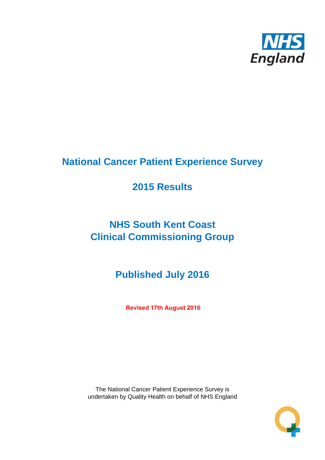

# **National Cancer Patient Experience Survey**

# **2015 Results**

# **NHS South Kent Coast Clinical Commissioning Group**

# **Published July 2016**

**Revised 17th August 2016**

The National Cancer Patient Experience Survey is undertaken by Quality Health on behalf of NHS England

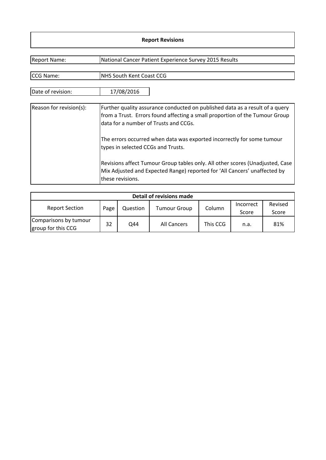#### **Report Revisions**

| <b>Report Name:</b>     | National Cancer Patient Experience Survey 2015 Results                                                                                                                                               |
|-------------------------|------------------------------------------------------------------------------------------------------------------------------------------------------------------------------------------------------|
|                         |                                                                                                                                                                                                      |
| CCG Name:               | <b>NHS South Kent Coast CCG</b>                                                                                                                                                                      |
| Date of revision:       | 17/08/2016                                                                                                                                                                                           |
| Reason for revision(s): | Further quality assurance conducted on published data as a result of a query<br>from a Trust. Errors found affecting a small proportion of the Tumour Group<br>data for a number of Trusts and CCGs. |
|                         | The errors occurred when data was exported incorrectly for some tumour<br>types in selected CCGs and Trusts.                                                                                         |
|                         | Revisions affect Tumour Group tables only. All other scores (Unadjusted, Case<br>Mix Adjusted and Expected Range) reported for 'All Cancers' unaffected by<br>these revisions.                       |

| Detail of revisions made                    |      |          |                     |          |                    |                  |  |  |  |  |
|---------------------------------------------|------|----------|---------------------|----------|--------------------|------------------|--|--|--|--|
| <b>Report Section</b>                       | Page | Question | <b>Tumour Group</b> | Column   | Incorrect<br>Score | Revised<br>Score |  |  |  |  |
| Comparisons by tumour<br>group for this CCG | 32   | Q44      | All Cancers         | This CCG | n.a.               | 81%              |  |  |  |  |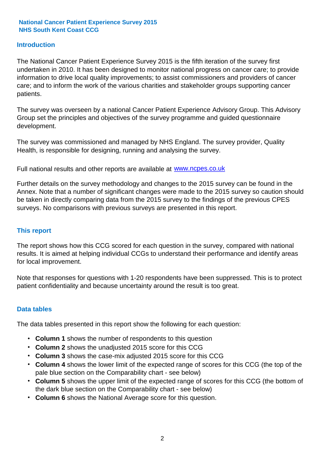#### **Introduction**

The National Cancer Patient Experience Survey 2015 is the fifth iteration of the survey first undertaken in 2010. It has been designed to monitor national progress on cancer care; to provide information to drive local quality improvements; to assist commissioners and providers of cancer care; and to inform the work of the various charities and stakeholder groups supporting cancer patients.

The survey was overseen by a national Cancer Patient Experience Advisory Group. This Advisory Group set the principles and objectives of the survey programme and guided questionnaire development.

The survey was commissioned and managed by NHS England. The survey provider, Quality Health, is responsible for designing, running and analysing the survey.

Full national results and other reports are available at www.ncpes.co.uk

Further details on the survey methodology and changes to the 2015 survey can be found in the Annex. Note that a number of significant changes were made to the 2015 survey so caution should be taken in directly comparing data from the 2015 survey to the findings of the previous CPES surveys. No comparisons with previous surveys are presented in this report.

#### **This report**

The report shows how this CCG scored for each question in the survey, compared with national results. It is aimed at helping individual CCGs to understand their performance and identify areas for local improvement.

Note that responses for questions with 1-20 respondents have been suppressed. This is to protect patient confidentiality and because uncertainty around the result is too great.

#### **Data tables**

The data tables presented in this report show the following for each question:

- **Column 1** shows the number of respondents to this question
- **Column 2** shows the unadjusted 2015 score for this CCG
- **Column 3** shows the case-mix adjusted 2015 score for this CCG
- **Column 4** shows the lower limit of the expected range of scores for this CCG (the top of the pale blue section on the Comparability chart - see below)
- **Column 5** shows the upper limit of the expected range of scores for this CCG (the bottom of the dark blue section on the Comparability chart - see below)
- **Column 6** shows the National Average score for this question.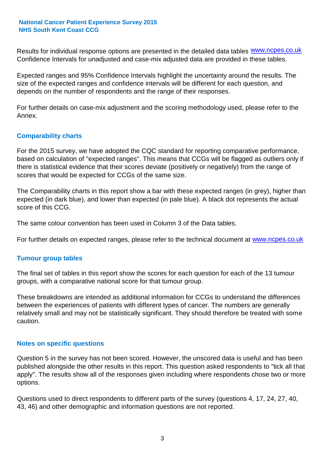Results for individual response options are presented in the detailed data tables **WWW.ncpes.co.uk** Confidence Intervals for unadjusted and case-mix adjusted data are provided in these tables.

Expected ranges and 95% Confidence Intervals highlight the uncertainty around the results. The size of the expected ranges and confidence intervals will be different for each question, and depends on the number of respondents and the range of their responses.

For further details on case-mix adjustment and the scoring methodology used, please refer to the Annex.

#### **Comparability charts**

For the 2015 survey, we have adopted the CQC standard for reporting comparative performance, based on calculation of "expected ranges". This means that CCGs will be flagged as outliers only if there is statistical evidence that their scores deviate (positively or negatively) from the range of scores that would be expected for CCGs of the same size.

The Comparability charts in this report show a bar with these expected ranges (in grey), higher than expected (in dark blue), and lower than expected (in pale blue). A black dot represents the actual score of this CCG.

The same colour convention has been used in Column 3 of the Data tables.

For further details on expected ranges, please refer to the technical document at **www.ncpes.co.uk** 

#### **Tumour group tables**

The final set of tables in this report show the scores for each question for each of the 13 tumour groups, with a comparative national score for that tumour group.

These breakdowns are intended as additional information for CCGs to understand the differences between the experiences of patients with different types of cancer. The numbers are generally relatively small and may not be statistically significant. They should therefore be treated with some caution.

#### **Notes on specific questions**

Question 5 in the survey has not been scored. However, the unscored data is useful and has been published alongside the other results in this report. This question asked respondents to "tick all that apply". The results show all of the responses given including where respondents chose two or more options.

Questions used to direct respondents to different parts of the survey (questions 4, 17, 24, 27, 40, 43, 46) and other demographic and information questions are not reported.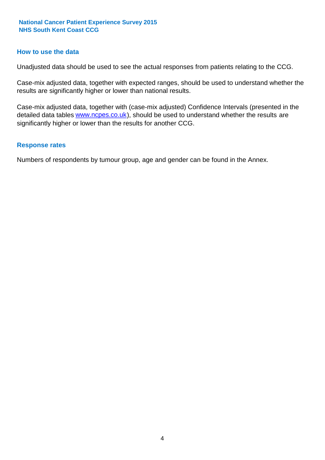#### **How to use the data**

Unadjusted data should be used to see the actual responses from patients relating to the CCG.

Case-mix adjusted data, together with expected ranges, should be used to understand whether the results are significantly higher or lower than national results.

Case-mix adjusted data, together with (case-mix adjusted) Confidence Intervals (presented in the detailed data tables **www.ncpes.co.uk**), should be used to understand whether the results are significantly higher or lower than the results for another CCG.

#### **Response rates**

Numbers of respondents by tumour group, age and gender can be found in the Annex.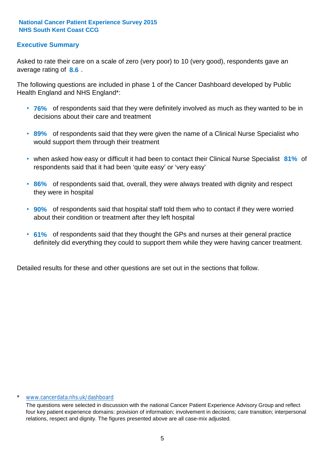#### **Executive Summary**

average rating of 8.6. Asked to rate their care on a scale of zero (very poor) to 10 (very good), respondents gave an

The following questions are included in phase 1 of the Cancer Dashboard developed by Public Health England and NHS England\*:

- **76%** of respondents said that they were definitely involved as much as they wanted to be in decisions about their care and treatment
- **89%** of respondents said that they were given the name of a Clinical Nurse Specialist who would support them through their treatment
- when asked how easy or difficult it had been to contact their Clinical Nurse Specialist 81% of respondents said that it had been 'quite easy' or 'very easy'
- **86%** of respondents said that, overall, they were always treated with dignity and respect they were in hospital
- **90%** of respondents said that hospital staff told them who to contact if they were worried about their condition or treatment after they left hospital
- **61%** of respondents said that they thought the GPs and nurses at their general practice definitely did everything they could to support them while they were having cancer treatment.

Detailed results for these and other questions are set out in the sections that follow.

#### \* www.cancerdata.nhs.uk/dashboard

The questions were selected in discussion with the national Cancer Patient Experience Advisory Group and reflect four key patient experience domains: provision of information; involvement in decisions; care transition; interpersonal relations, respect and dignity. The figures presented above are all case-mix adjusted.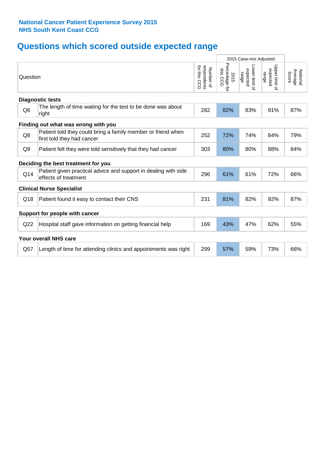# **Questions which scored outside expected range**

|                         |                                                                                            | 2015 Case-mix Adjusted |                                    |                                     |                                     |                              |  |  |  |
|-------------------------|--------------------------------------------------------------------------------------------|------------------------|------------------------------------|-------------------------------------|-------------------------------------|------------------------------|--|--|--|
|                         | Question                                                                                   |                        | Percentage for<br>this CCG<br>2015 | Lower limit of<br>expected<br>range | Upper limit of<br>expected<br>range | Average<br>National<br>Score |  |  |  |
| <b>Diagnostic tests</b> |                                                                                            |                        |                                    |                                     |                                     |                              |  |  |  |
| Q <sub>6</sub>          | The length of time waiting for the test to be done was about<br>right                      | 282                    | 82%                                | 83%                                 | 91%                                 | 87%                          |  |  |  |
|                         | Finding out what was wrong with you                                                        |                        |                                    |                                     |                                     |                              |  |  |  |
| Q8                      | Patient told they could bring a family member or friend when<br>first told they had cancer | 252                    | 72%                                | 74%                                 | 84%                                 | 79%                          |  |  |  |
| Q <sub>9</sub>          | Patient felt they were told sensitively that they had cancer                               | 303                    | 80%                                | 80%                                 | 88%                                 | 84%                          |  |  |  |
|                         | Deciding the best treatment for you                                                        |                        |                                    |                                     |                                     |                              |  |  |  |
| Q14                     | Patient given practical advice and support in dealing with side<br>effects of treatment    | 296                    | 61%                                | 61%                                 | 72%                                 | 66%                          |  |  |  |
|                         | <b>Clinical Nurse Specialist</b>                                                           |                        |                                    |                                     |                                     |                              |  |  |  |
| Q18                     | Patient found it easy to contact their CNS                                                 | 231                    | 81%                                | 82%                                 | 92%                                 | 87%                          |  |  |  |
|                         | Support for people with cancer                                                             |                        |                                    |                                     |                                     |                              |  |  |  |
| Q <sub>22</sub>         | Hospital staff gave information on getting financial help                                  | 169                    | 43%                                | 47%                                 | 62%                                 | 55%                          |  |  |  |
|                         | <b>Your overall NHS care</b>                                                               |                        |                                    |                                     |                                     |                              |  |  |  |
| Q57                     | Length of time for attending clinics and appointments was right                            | 299                    | 57%                                | 59%                                 | 73%                                 | 66%                          |  |  |  |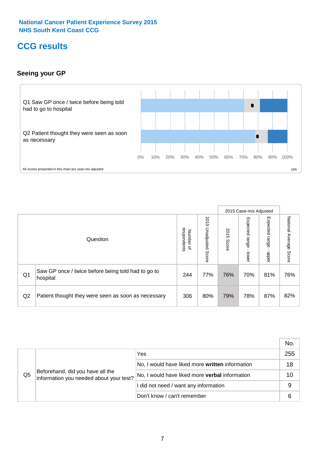## **CCG results**

#### **Seeing your GP**



|    |                                                                |                                              |                             |               | 2015 Case-mix Adjusted     |                            |                           |
|----|----------------------------------------------------------------|----------------------------------------------|-----------------------------|---------------|----------------------------|----------------------------|---------------------------|
|    | Question                                                       | respondents<br>Number<br>$\overline{\sigma}$ | 2015<br>Unadjusted<br>Score | 2015<br>Score | Expected<br>range<br>lower | Expected<br>range<br>nbber | National Average<br>Score |
| Q1 | Saw GP once / twice before being told had to go to<br>hospital | 244                                          | 77%                         | 76%           | 70%                        | 81%                        | 76%                       |
| Q2 | Patient thought they were seen as soon as necessary            | 306                                          | 80%                         | 79%           | 78%                        | 87%                        | 82%                       |

|    |                                                                             |                                                 | No. |
|----|-----------------------------------------------------------------------------|-------------------------------------------------|-----|
|    |                                                                             | Yes                                             | 255 |
|    | Beforehand, did you have all the<br>information you needed about your test? | No, I would have liked more written information | 18  |
| Q5 |                                                                             | No, I would have liked more verbal information  | 10  |
|    |                                                                             | I did not need / want any information           | 9   |
|    |                                                                             | Don't know / can't remember                     | 6   |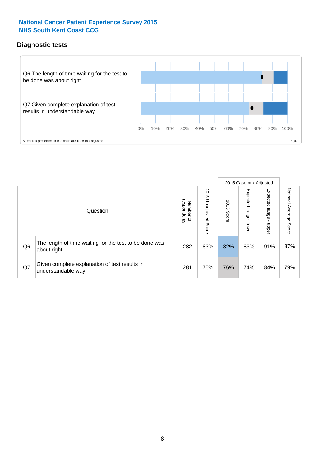#### **Diagnostic tests**



|                |                                                                       |                                   |                             |               | 2015 Case-mix Adjusted  |                         |                           |
|----------------|-----------------------------------------------------------------------|-----------------------------------|-----------------------------|---------------|-------------------------|-------------------------|---------------------------|
|                | Question                                                              | respondents<br>Number<br>$\Omega$ | 2015<br>Unadjusted<br>Score | 2015<br>Score | Expected range<br>lower | Expected range<br>nbber | National Average<br>Score |
| Q <sub>6</sub> | The length of time waiting for the test to be done was<br>about right | 282                               | 83%                         | 82%           | 83%                     | 91%                     | 87%                       |
| Q7             | Given complete explanation of test results in<br>understandable way   | 281                               | 75%                         | 76%           | 74%                     | 84%                     | 79%                       |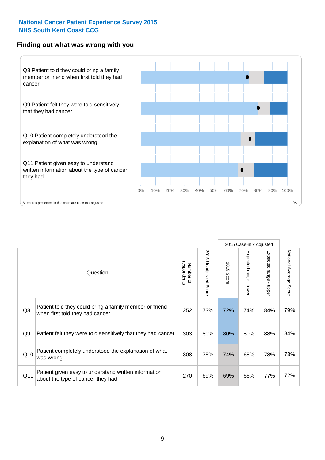#### **Finding out what was wrong with you**



|     |                                                                                            |                          |                          |               | 2015 Case-mix Adjusted |                                         |                           |
|-----|--------------------------------------------------------------------------------------------|--------------------------|--------------------------|---------------|------------------------|-----------------------------------------|---------------------------|
|     | Question                                                                                   | respondents<br>Number of | 2015<br>Unadjusted Score | 2015<br>Score | Expected range - lower | Expected range<br>$\mathbf{r}$<br>nbber | National Average<br>Score |
| Q8  | Patient told they could bring a family member or friend<br>when first told they had cancer | 252                      | 73%                      | 72%           | 74%                    | 84%                                     | 79%                       |
| Q9  | Patient felt they were told sensitively that they had cancer                               | 303                      | 80%                      | 80%           | 80%                    | 88%                                     | 84%                       |
| Q10 | Patient completely understood the explanation of what<br>was wrong                         | 308                      | 75%                      | 74%           | 68%                    | 78%                                     | 73%                       |
| Q11 | Patient given easy to understand written information<br>about the type of cancer they had  | 270                      | 69%                      | 69%           | 66%                    | 77%                                     | 72%                       |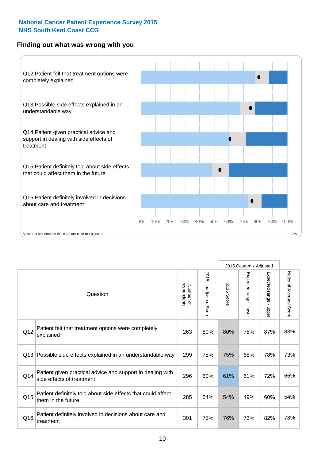#### **Finding out what was wrong with you**



|                 |                                                                                         |                          |                                 | 2015 Case-mix Adjusted |                                           |                        |                        |
|-----------------|-----------------------------------------------------------------------------------------|--------------------------|---------------------------------|------------------------|-------------------------------------------|------------------------|------------------------|
| Question        |                                                                                         | Number of<br>respondents | 2015<br><b>Unadjusted Score</b> | 2015<br>Score          | Expected range<br>$\blacksquare$<br>lower | Expected range - upper | National Average Score |
| Q12             | Patient felt that treatment options were completely<br>explained                        | 263                      | 80%                             | 80%                    | 78%                                       | 87%                    | 83%                    |
| Q13             | Possible side effects explained in an understandable way                                | 299                      | 75%                             | 75%                    | 68%                                       | 78%                    | 73%                    |
| Q14             | Patient given practical advice and support in dealing with<br>side effects of treatment | 296                      | 60%                             | 61%                    | 61%                                       | 72%                    | 66%                    |
| Q <sub>15</sub> | Patient definitely told about side effects that could affect<br>them in the future      | 285                      | 54%                             | 54%                    | 49%                                       | 60%                    | 54%                    |
| Q16             | Patient definitely involved in decisions about care and<br>treatment                    | 301                      | 75%                             | 76%                    | 73%                                       | 82%                    | 78%                    |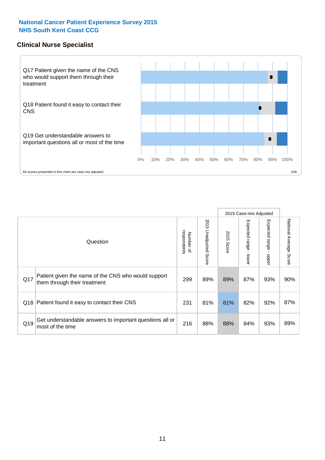#### **Clinical Nurse Specialist**



|     |                                                                                     |                          |                       |               | 2015 Case-mix Adjusted  |                            |                                  |
|-----|-------------------------------------------------------------------------------------|--------------------------|-----------------------|---------------|-------------------------|----------------------------|----------------------------------|
|     | Question                                                                            | respondents<br>Number of | 2015 Unadjusted Score | 2015<br>Score | Expected range<br>lower | Expected<br>range<br>nbber | National Average<br><b>Score</b> |
| Q17 | Patient given the name of the CNS who would support<br>them through their treatment | 299                      | 89%                   | 89%           | 87%                     | 93%                        | 90%                              |
| Q18 | Patient found it easy to contact their CNS                                          | 231                      | 81%                   | 81%           | 82%                     | 92%                        | 87%                              |
| Q19 | Get understandable answers to important questions all or<br>most of the time        | 216                      | 88%                   | 88%           | 84%                     | 93%                        | 89%                              |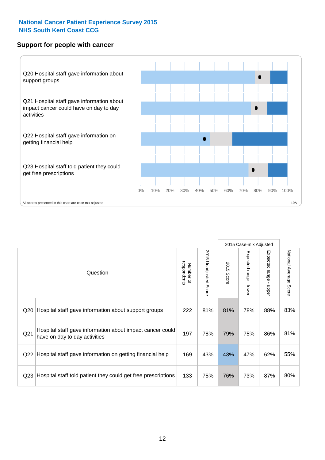#### **Support for people with cancer**



|                 |                                                                                            |                          |                             |               | 2015 Case-mix Adjusted                    |                                           |                        |
|-----------------|--------------------------------------------------------------------------------------------|--------------------------|-----------------------------|---------------|-------------------------------------------|-------------------------------------------|------------------------|
|                 | Question                                                                                   | respondents<br>Number of | 2015<br>Unadjusted<br>Score | 2015<br>Score | Expected range<br>$\blacksquare$<br>lower | Expected range<br>$\blacksquare$<br>nbber | National Average Score |
| Q20             | Hospital staff gave information about support groups                                       | 222                      | 81%                         | 81%           | 78%                                       | 88%                                       | 83%                    |
| Q <sub>21</sub> | Hospital staff gave information about impact cancer could<br>have on day to day activities | 197                      | 78%                         | 79%           | 75%                                       | 86%                                       | 81%                    |
| Q <sub>22</sub> | Hospital staff gave information on getting financial help                                  | 169                      | 43%                         | 43%           | 47%                                       | 62%                                       | 55%                    |
| Q <sub>23</sub> | Hospital staff told patient they could get free prescriptions                              | 133                      | 75%                         | 76%           | 73%                                       | 87%                                       | 80%                    |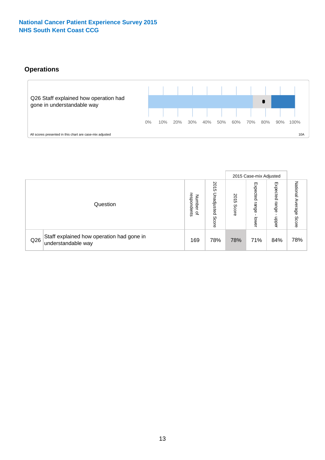#### **Operations**



|     |                                                                 |                                              |                             | 2015 Case-mix Adjusted |                            |                            |                              |
|-----|-----------------------------------------------------------------|----------------------------------------------|-----------------------------|------------------------|----------------------------|----------------------------|------------------------------|
|     | Question                                                        | respondents<br>Number<br>$\overline{\sigma}$ | 2015<br>Unadjusted<br>Score | 201<br>CΠ<br>Score     | Expected<br>range<br>lower | Expected<br>range<br>doper | National<br>Average<br>Score |
| Q26 | Staff explained how operation had gone in<br>understandable way | 169                                          | 78%                         | 78%                    | 71%                        | 84%                        | 78%                          |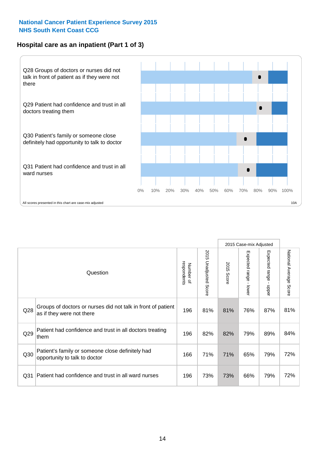#### **Hospital care as an inpatient (Part 1 of 3)**



All scores presented in this chart are case-mix adjusted  $10A$ 

|                 |                                                                                           |                          |                       |                      | 2015 Case-mix Adjusted                    |                                           |                        |
|-----------------|-------------------------------------------------------------------------------------------|--------------------------|-----------------------|----------------------|-------------------------------------------|-------------------------------------------|------------------------|
|                 | Question                                                                                  | respondents<br>Number of | 2015 Unadjusted Score | 2015<br><b>Score</b> | Expected range<br>$\blacksquare$<br>lower | Expected range<br>$\blacksquare$<br>nbber | National Average Score |
| Q28             | Groups of doctors or nurses did not talk in front of patient<br>as if they were not there | 196                      | 81%                   | 81%                  | 76%                                       | 87%                                       | 81%                    |
| Q29             | Patient had confidence and trust in all doctors treating<br>them                          | 196                      | 82%                   | 82%                  | 79%                                       | 89%                                       | 84%                    |
| Q30             | Patient's family or someone close definitely had<br>opportunity to talk to doctor         | 166                      | 71%                   | 71%                  | 65%                                       | 79%                                       | 72%                    |
| Q <sub>31</sub> | Patient had confidence and trust in all ward nurses                                       | 196                      | 73%                   | 73%                  | 66%                                       | 79%                                       | 72%                    |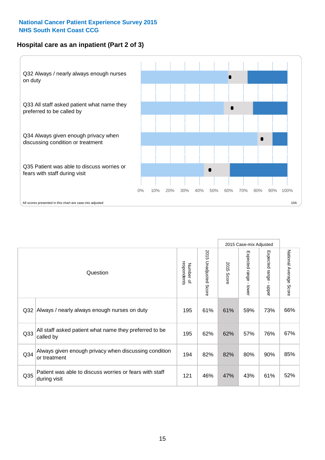#### **Hospital care as an inpatient (Part 2 of 3)**



|                 |                                                                         |                          |                             |               | 2015 Case-mix Adjusted |                           |                           |
|-----------------|-------------------------------------------------------------------------|--------------------------|-----------------------------|---------------|------------------------|---------------------------|---------------------------|
|                 | Question                                                                | respondents<br>Number of | 2015<br>Unadjusted<br>Score | 2015<br>Score | Expected range - lower | Expected range -<br>nbber | National Average<br>Score |
| Q <sub>32</sub> | Always / nearly always enough nurses on duty                            | 195                      | 61%                         | 61%           | 59%                    | 73%                       | 66%                       |
| Q <sub>33</sub> | All staff asked patient what name they preferred to be<br>called by     | 195                      | 62%                         | 62%           | 57%                    | 76%                       | 67%                       |
| Q34             | Always given enough privacy when discussing condition<br>or treatment   | 194                      | 82%                         | 82%           | 80%                    | 90%                       | 85%                       |
| Q <sub>35</sub> | Patient was able to discuss worries or fears with staff<br>during visit | 121                      | 46%                         | 47%           | 43%                    | 61%                       | 52%                       |
|                 |                                                                         |                          |                             |               |                        |                           |                           |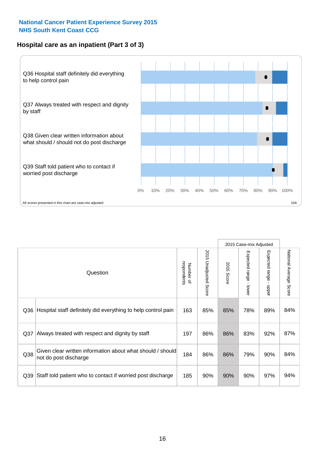#### **Hospital care as an inpatient (Part 3 of 3)**



|     |                                                                                     |                          |                       |            | 2015 Case-mix Adjusted |                                           |                           |
|-----|-------------------------------------------------------------------------------------|--------------------------|-----------------------|------------|------------------------|-------------------------------------------|---------------------------|
|     | Question                                                                            | Number of<br>respondents | 2015 Unadjusted Score | 2015 Score | Expected range - lower | Expected range<br>$\blacksquare$<br>nbber | National Average<br>Score |
| Q36 | Hospital staff definitely did everything to help control pain                       | 163                      | 85%                   | 85%        | 78%                    | 89%                                       | 84%                       |
| Q37 | Always treated with respect and dignity by staff                                    | 197                      | 86%                   | 86%        | 83%                    | 92%                                       | 87%                       |
| Q38 | Given clear written information about what should / should<br>not do post discharge | 184                      | 86%                   | 86%        | 79%                    | 90%                                       | 84%                       |
| Q39 | Staff told patient who to contact if worried post discharge                         | 185                      | 90%                   | 90%        | 90%                    | 97%                                       | 94%                       |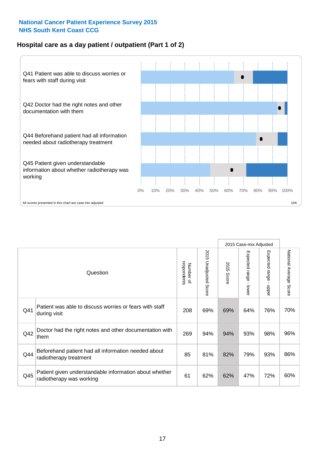#### **Hospital care as a day patient / outpatient (Part 1 of 2)**



|          |                                                                                    |     |                                 | 2015 Case-mix Adjusted |                                         |                                         |                        |
|----------|------------------------------------------------------------------------------------|-----|---------------------------------|------------------------|-----------------------------------------|-----------------------------------------|------------------------|
| Question |                                                                                    |     | 2015<br><b>Unadjusted Score</b> | 2015<br><b>Score</b>   | Expected range<br>$\mathbf{r}$<br>lower | Expected range<br>$\mathbf{I}$<br>nbber | National Average Score |
| Q41      | Patient was able to discuss worries or fears with staff<br>during visit            | 208 | 69%                             | 69%                    | 64%                                     | 76%                                     | 70%                    |
| Q42      | Doctor had the right notes and other documentation with<br>them                    |     | 94%                             | 94%                    | 93%                                     | 98%                                     | 96%                    |
| Q44      | Beforehand patient had all information needed about<br>radiotherapy treatment      | 85  | 81%                             | 82%                    | 79%                                     | 93%                                     | 86%                    |
| Q45      | Patient given understandable information about whether<br>radiotherapy was working | 61  | 62%                             | 62%                    | 47%                                     | 72%                                     | 60%                    |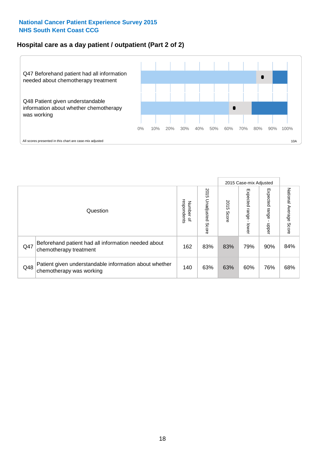#### **Hospital care as a day patient / outpatient (Part 2 of 2)**



|          |                                                                                    |                                       |                             |               | 2015 Case-mix Adjusted       |                         |                           |
|----------|------------------------------------------------------------------------------------|---------------------------------------|-----------------------------|---------------|------------------------------|-------------------------|---------------------------|
| Question |                                                                                    | respondents<br>Number<br>$\mathbf{Q}$ | 2015<br>Unadjusted<br>Score | 2015<br>Score | Expected<br>I range<br>lower | Expected range<br>doper | National Average<br>Score |
| Q47      | Beforehand patient had all information needed about<br>chemotherapy treatment      | 162                                   | 83%                         | 83%           | 79%                          | 90%                     | 84%                       |
| Q48      | Patient given understandable information about whether<br>chemotherapy was working | 140                                   | 63%                         | 63%           | 60%                          | 76%                     | 68%                       |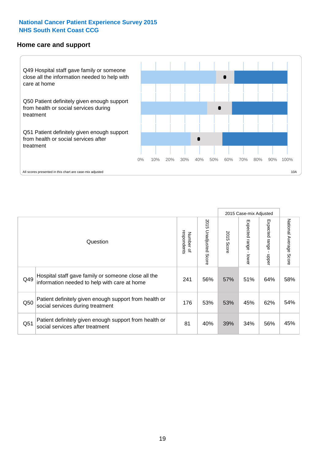#### **Home care and support**



All scores presented in this chart are case-mix adjusted

|                 |                                                                                                     |                          |                          | 2015 Case-mix Adjusted |                         |                         |                        |
|-----------------|-----------------------------------------------------------------------------------------------------|--------------------------|--------------------------|------------------------|-------------------------|-------------------------|------------------------|
|                 | Question                                                                                            | respondents<br>Number of | 2015<br>Unadjusted Score | 2015<br>Score          | Expected range<br>lower | Expected range<br>nbber | National Average Score |
| Q49             | Hospital staff gave family or someone close all the<br>information needed to help with care at home | 241                      | 56%                      | 57%                    | 51%                     | 64%                     | 58%                    |
| Q50             | Patient definitely given enough support from health or<br>social services during treatment          | 176                      | 53%                      | 53%                    | 45%                     | 62%                     | 54%                    |
| Q <sub>51</sub> | Patient definitely given enough support from health or<br>social services after treatment           | 81                       | 40%                      | 39%                    | 34%                     | 56%                     | 45%                    |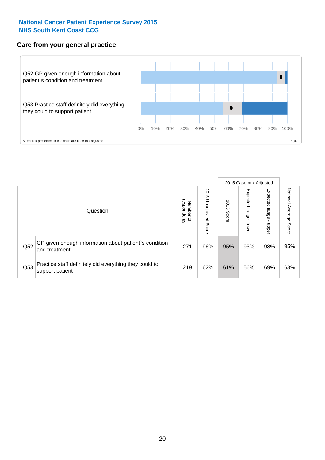#### **Care from your general practice**



|          |                                                                           |     |                             | 2015 Case-mix Adjusted |                            |                            |                           |
|----------|---------------------------------------------------------------------------|-----|-----------------------------|------------------------|----------------------------|----------------------------|---------------------------|
| Question |                                                                           |     | 2015<br>Unadjusted<br>Score | 2015<br>Score          | Expected<br>range<br>lower | Expected<br>range<br>nbber | National Average<br>Score |
| Q52      | GP given enough information about patient's condition<br>and treatment    |     | 96%                         | 95%                    | 93%                        | 98%                        | 95%                       |
| Q53      | Practice staff definitely did everything they could to<br>support patient | 219 | 62%                         | 61%                    | 56%                        | 69%                        | 63%                       |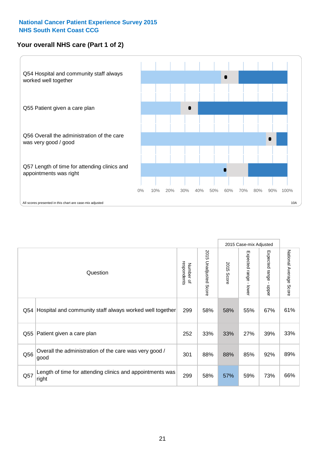#### **Your overall NHS care (Part 1 of 2)**



|     |                                                                    |                          |                          | 2015 Case-mix Adjusted |                                           |                                           |                        |
|-----|--------------------------------------------------------------------|--------------------------|--------------------------|------------------------|-------------------------------------------|-------------------------------------------|------------------------|
|     | Question                                                           | respondents<br>Number of | 2015<br>Unadjusted Score | 2015<br><b>Score</b>   | Expected range<br>$\blacksquare$<br>lower | Expected range<br>$\blacksquare$<br>nbber | National Average Score |
| Q54 | Hospital and community staff always worked well together           | 299                      | 58%                      | 58%                    | 55%                                       | 67%                                       | 61%                    |
| Q55 | Patient given a care plan                                          |                          | 33%                      | 33%                    | 27%                                       | 39%                                       | 33%                    |
| Q56 | Overall the administration of the care was very good /<br>good     | 301                      | 88%                      | 88%                    | 85%                                       | 92%                                       | 89%                    |
| Q57 | Length of time for attending clinics and appointments was<br>right | 299                      | 58%                      | 57%                    | 59%                                       | 73%                                       | 66%                    |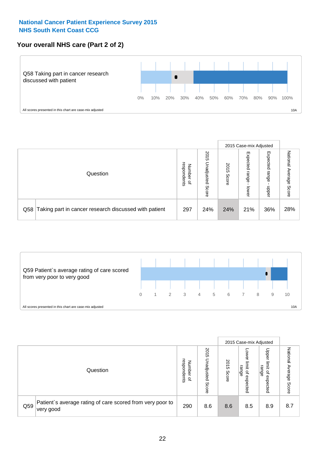#### **Your overall NHS care (Part 2 of 2)**



|          |                                                       |                                         |                             |               |                            | 2015 Case-mix Adjusted     |                           |  |
|----------|-------------------------------------------------------|-----------------------------------------|-----------------------------|---------------|----------------------------|----------------------------|---------------------------|--|
| Question |                                                       | respondents<br>Number<br>$\overline{a}$ | 2015<br>Unadjusted<br>Score | 2015<br>Score | Expected<br>range<br>lower | Expected<br>range<br>doper | National<br>Average Score |  |
| Q58      | Taking part in cancer research discussed with patient | 297                                     | 24%                         | 24%           | 21%                        | 36%                        | 28%                       |  |



|     |                                                                        |                                              |                             |               |                                         | 2015 Case-mix Adjusted                                |                              |  |
|-----|------------------------------------------------------------------------|----------------------------------------------|-----------------------------|---------------|-----------------------------------------|-------------------------------------------------------|------------------------------|--|
|     | Question                                                               | respondents<br>Number<br>$\overline{\sigma}$ | 2015<br>Jnadjusted<br>Score | 2015<br>Score | OWer<br>limit<br>range<br>٩<br>expected | Upper<br>limit<br>range<br>$\overline{a}$<br>expected | National<br>Average<br>Score |  |
| Q59 | Patient's average rating of care scored from very poor to<br>very good | 290                                          | 8.6                         | 8.6           | 8.5                                     | 8.9                                                   | 8.7                          |  |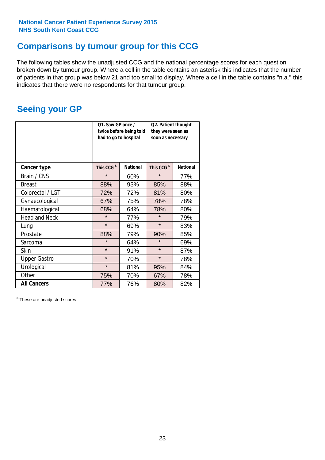### **Comparisons by tumour group for this CCG**

The following tables show the unadjusted CCG and the national percentage scores for each question broken down by tumour group. Where a cell in the table contains an asterisk this indicates that the number of patients in that group was below 21 and too small to display. Where a cell in the table contains "n.a." this indicates that there were no respondents for that tumour group.

### **Seeing your GP**

|                      | Q1. Saw GP once /<br>had to go to hospital | twice before being told | Q2. Patient thought<br>they were seen as<br>soon as necessary |                 |
|----------------------|--------------------------------------------|-------------------------|---------------------------------------------------------------|-----------------|
| <b>Cancer type</b>   | This CCG <sup>\$</sup>                     | <b>National</b>         | This CCG <sup>\$</sup>                                        | <b>National</b> |
| Brain / CNS          | $\star$                                    | 60%                     | $\star$                                                       | 77%             |
| <b>Breast</b>        | 88%                                        | 93%                     | 85%                                                           | 88%             |
| Colorectal / LGT     | 72%<br>72%                                 |                         | 81%                                                           | 80%             |
| Gynaecological       | 67%<br>75%                                 |                         | 78%                                                           | 78%             |
| Haematological       | 68%                                        | 64%                     | 78%                                                           | 80%             |
| <b>Head and Neck</b> | $\star$                                    | 77%                     | $\star$                                                       | 79%             |
| Lung                 | $\star$                                    | 69%                     | $\star$                                                       | 83%             |
| Prostate             | 88%                                        | 79%                     | 90%                                                           | 85%             |
| Sarcoma              | $\star$                                    | 64%                     | $\star$                                                       | 69%             |
| Skin                 | $\star$                                    | 91%                     | $\star$                                                       | 87%             |
| <b>Upper Gastro</b>  | $\star$<br>70%                             |                         | $\star$                                                       | 78%             |
| Urological           | $\star$                                    | 81%                     | 95%                                                           | 84%             |
| Other                | 75%                                        | 70%                     | 67%                                                           | 78%             |
| <b>All Cancers</b>   | 77%                                        | 76%                     | 80%                                                           | 82%             |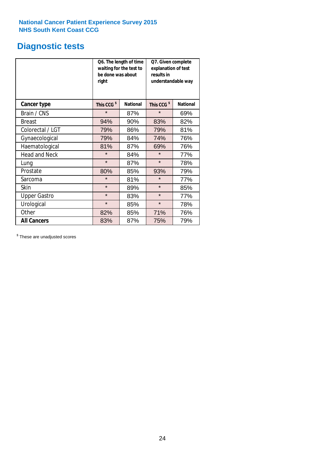### **Diagnostic tests**

|                      | be done was about<br>right | Q6. The length of time<br>waiting for the test to | Q7. Given complete<br>explanation of test<br>results in<br>understandable way |                 |  |  |
|----------------------|----------------------------|---------------------------------------------------|-------------------------------------------------------------------------------|-----------------|--|--|
| <b>Cancer type</b>   | This CCG <sup>\$</sup>     | <b>National</b>                                   | This CCG <sup>\$</sup>                                                        | <b>National</b> |  |  |
| Brain / CNS          | $\star$                    | 87%                                               | $\star$                                                                       | 69%             |  |  |
| <b>Breast</b>        | 94%                        | 90%                                               | 83%                                                                           | 82%             |  |  |
| Colorectal / LGT     | 86%<br>79%                 |                                                   | 79%                                                                           | 81%             |  |  |
| Gynaecological       | 79%                        | 84%                                               | 74%                                                                           | 76%             |  |  |
| Haematological       | 81%                        | 87%                                               | 69%                                                                           | 76%             |  |  |
| <b>Head and Neck</b> | $\star$                    | 84%                                               | $\star$                                                                       | 77%             |  |  |
| Lung                 | $\star$                    | 87%                                               | $\star$                                                                       | 78%             |  |  |
| Prostate             | 80%                        | 85%                                               | 93%                                                                           | 79%             |  |  |
| Sarcoma              | $\star$                    | 81%                                               | $\star$                                                                       | 77%             |  |  |
| Skin                 | $\star$                    | 89%                                               | $\star$                                                                       | 85%             |  |  |
| <b>Upper Gastro</b>  | $\star$<br>83%             |                                                   | $\star$                                                                       | 77%             |  |  |
| Urological           | $\star$                    | 85%                                               | $\star$                                                                       | 78%             |  |  |
| Other                | 82%                        | 85%                                               | 71%                                                                           | 76%             |  |  |
| <b>All Cancers</b>   | 83%                        | 87%                                               | 75%                                                                           | 79%             |  |  |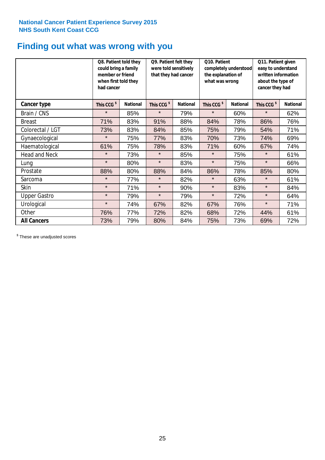### **Finding out what was wrong with you**

|                      | Q8. Patient told they<br>could bring a family<br>member or friend<br>when first told they<br>had cancer |                 | Q9. Patient felt they<br>were told sensitively<br>that they had cancer |                 | Q10. Patient<br>completely understood<br>the explanation of<br>what was wrong |                 | Q11. Patient given<br>easy to understand<br>written information<br>about the type of<br>cancer they had |                 |
|----------------------|---------------------------------------------------------------------------------------------------------|-----------------|------------------------------------------------------------------------|-----------------|-------------------------------------------------------------------------------|-----------------|---------------------------------------------------------------------------------------------------------|-----------------|
| Cancer type          | This CCG <sup>\$</sup>                                                                                  | <b>National</b> | This CCG <sup>\$</sup>                                                 | <b>National</b> | This CCG <sup>\$</sup>                                                        | <b>National</b> | This CCG <sup>\$</sup>                                                                                  | <b>National</b> |
| Brain / CNS          | $\star$                                                                                                 | 85%             | $\star$                                                                | 79%             | $\star$                                                                       | 60%             | $\star$                                                                                                 | 62%             |
| <b>Breast</b>        | 71%                                                                                                     | 83%             | 91%                                                                    | 88%             | 84%                                                                           | 78%             | 86%                                                                                                     | 76%             |
| Colorectal / LGT     | 73%                                                                                                     | 83%             | 84%                                                                    | 85%             | 75%                                                                           | 79%             | 54%                                                                                                     | 71%             |
| Gynaecological       | $\star$                                                                                                 | 75%             | 77%                                                                    | 83%             | 70%                                                                           | 73%             | 74%                                                                                                     | 69%             |
| Haematological       | 61%                                                                                                     | 75%             | 78%                                                                    | 83%             | 71%                                                                           | 60%             | 67%                                                                                                     | 74%             |
| <b>Head and Neck</b> | $\star$                                                                                                 | 73%             | $\star$                                                                | 85%             | $\star$                                                                       | 75%             | $\star$                                                                                                 | 61%             |
| Lung                 | $\star$                                                                                                 | 80%             | $\star$                                                                | 83%             | $\star$                                                                       | 75%             | $\star$                                                                                                 | 66%             |
| Prostate             | 88%                                                                                                     | 80%             | 88%                                                                    | 84%             | 86%                                                                           | 78%             | 85%                                                                                                     | 80%             |
| Sarcoma              | $\star$                                                                                                 | 77%             | $\star$                                                                | 82%             | $\star$                                                                       | 63%             | $\star$                                                                                                 | 61%             |
| Skin                 | $\star$                                                                                                 | 71%             | $\star$                                                                | 90%             | $\star$                                                                       | 83%             | $\star$                                                                                                 | 84%             |
| <b>Upper Gastro</b>  | $\star$                                                                                                 | 79%             | $\star$                                                                | 79%             | $\star$                                                                       | 72%             | $\star$                                                                                                 | 64%             |
| Urological           | $\star$                                                                                                 | 74%             | 67%                                                                    | 82%             | 67%                                                                           | 76%             | $\star$                                                                                                 | 71%             |
| Other                | 76%                                                                                                     | 77%             | 72%                                                                    | 82%             | 68%                                                                           | 72%             | 44%                                                                                                     | 61%             |
| <b>All Cancers</b>   | 73%                                                                                                     | 79%             | 80%                                                                    | 84%             | 75%                                                                           | 73%             | 69%                                                                                                     | 72%             |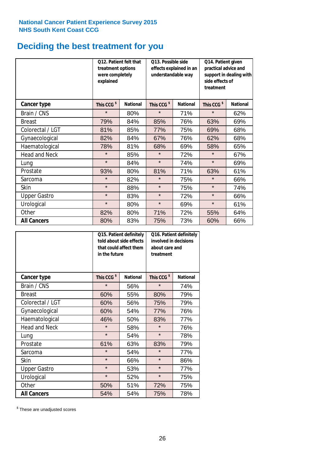### **Deciding the best treatment for you**

|                      | <b>Q12. Patient felt that</b><br>treatment options<br>were completely<br>explained |                 | Q13. Possible side<br>effects explained in an<br>understandable way |                 | Q14. Patient given<br>practical advice and<br>support in dealing with<br>side effects of<br>treatment |                 |
|----------------------|------------------------------------------------------------------------------------|-----------------|---------------------------------------------------------------------|-----------------|-------------------------------------------------------------------------------------------------------|-----------------|
| <b>Cancer type</b>   | This CCG <sup>\$</sup>                                                             | <b>National</b> | This CCG <sup>\$</sup>                                              | <b>National</b> | This CCG <sup>\$</sup>                                                                                | <b>National</b> |
| Brain / CNS          | $\star$                                                                            | 80%             | $\star$                                                             | 71%             | $\star$                                                                                               | 62%             |
| <b>Breast</b>        | 79%                                                                                | 84%             | 85%                                                                 | 76%             | 63%                                                                                                   | 69%             |
| Colorectal / LGT     | 81%                                                                                | 85%             | 77%                                                                 | 75%             | 69%                                                                                                   | 68%             |
| Gynaecological       | 82%                                                                                | 84%             | 67%                                                                 | 76%             | 62%                                                                                                   | 68%             |
| Haematological       | 78%                                                                                | 81%             | 68%                                                                 | 69%             | 58%                                                                                                   | 65%             |
| <b>Head and Neck</b> | $\star$                                                                            | 85%             | $\star$                                                             | 72%             | $\star$                                                                                               | 67%             |
| Lung                 | $\star$                                                                            | 84%             | $\star$                                                             | 74%             | $\star$                                                                                               | 69%             |
| Prostate             | 93%                                                                                | 80%             | 81%                                                                 | 71%             | 63%                                                                                                   | 61%             |
| Sarcoma              | $\star$                                                                            | 82%             | $\star$                                                             | 75%             | $\star$                                                                                               | 66%             |
| Skin                 | $\star$                                                                            | 88%             | $\star$                                                             | 75%             | $\star$                                                                                               | 74%             |
| <b>Upper Gastro</b>  | $\star$                                                                            | 83%             | $\star$                                                             | 72%             | $\star$                                                                                               | 66%             |
| Urological           | $\star$                                                                            | 80%             | $\star$                                                             | 69%             | $\star$                                                                                               | 61%             |
| Other                | 82%                                                                                | 80%             | 71%                                                                 | 72%             | 55%                                                                                                   | 64%             |
| <b>All Cancers</b>   | 80%                                                                                | 83%             | 75%                                                                 | 73%             | 60%                                                                                                   | 66%             |

|                      | in the future          | Q15. Patient definitely<br>told about side effects<br>that could affect them | Q16. Patient definitely<br>involved in decisions<br>about care and<br>treatment |                 |  |
|----------------------|------------------------|------------------------------------------------------------------------------|---------------------------------------------------------------------------------|-----------------|--|
| <b>Cancer type</b>   | This CCG <sup>\$</sup> | <b>National</b>                                                              | This CCG <sup>\$</sup>                                                          | <b>National</b> |  |
| Brain / CNS          | $\star$                | 56%                                                                          | $\star$                                                                         | 74%             |  |
| <b>Breast</b>        | 60%                    | 55%                                                                          | 80%                                                                             | 79%             |  |
| Colorectal / LGT     | 60%                    | 56%                                                                          | 75%                                                                             | 79%             |  |
| Gynaecological       | 54%<br>60%             |                                                                              | 77%                                                                             | 76%             |  |
| Haematological       | 46%                    | 50%                                                                          | 83%                                                                             | 77%             |  |
| <b>Head and Neck</b> | $\star$                | 58%                                                                          | $\star$                                                                         | 76%             |  |
| Lung                 | $\star$                | 54%                                                                          | $\star$                                                                         | 78%             |  |
| Prostate             | 61%                    | 63%                                                                          | 83%                                                                             | 79%             |  |
| Sarcoma              | $\star$                | 54%                                                                          | $\star$                                                                         | 77%             |  |
| Skin                 | $\star$                | 66%                                                                          | $\star$                                                                         | 86%             |  |
| <b>Upper Gastro</b>  | $\star$                | 53%                                                                          | $\star$                                                                         | 77%             |  |
| Urological           | $\star$                | 52%                                                                          | $\star$                                                                         | 75%             |  |
| Other                | 50%                    | 51%                                                                          | 72%                                                                             | 75%             |  |
| <b>All Cancers</b>   | 54%                    | 54%                                                                          | 75%                                                                             | 78%             |  |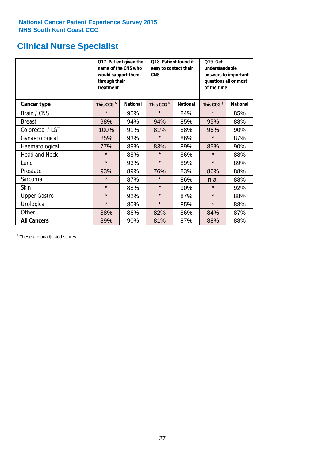### **Clinical Nurse Specialist**

|                      | would support them<br>through their<br>treatment | Q17. Patient given the<br>name of the CNS who | Q18. Patient found it<br>easy to contact their<br><b>CNS</b> |                 | <b>Q19. Get</b><br>understandable<br>answers to important<br>questions all or most<br>of the time |                 |  |
|----------------------|--------------------------------------------------|-----------------------------------------------|--------------------------------------------------------------|-----------------|---------------------------------------------------------------------------------------------------|-----------------|--|
| <b>Cancer type</b>   | This CCG <sup>\$</sup>                           | <b>National</b>                               | This CCG <sup>\$</sup>                                       | <b>National</b> | This CCG <sup>\$</sup>                                                                            | <b>National</b> |  |
| Brain / CNS          | $\star$                                          | 95%                                           | $\star$                                                      | 84%             | $\star$                                                                                           | 85%             |  |
| <b>Breast</b>        | 98%                                              | 94%                                           | 94%                                                          | 85%             | 95%                                                                                               | 88%             |  |
| Colorectal / LGT     | 100%                                             | 91%                                           | 81%                                                          | 88%             | 96%                                                                                               | 90%             |  |
| Gynaecological       | 85%                                              | 93%                                           | $\star$                                                      | 86%             | $\star$                                                                                           | 87%             |  |
| Haematological       | 77%                                              | 89%                                           | 83%                                                          | 89%             | 85%                                                                                               | 90%             |  |
| <b>Head and Neck</b> | $\star$                                          | 88%                                           | $\star$                                                      | 86%             | $\star$                                                                                           | 88%             |  |
| Lung                 | $\star$                                          | 93%                                           | $\star$                                                      | 89%             | $\star$                                                                                           | 89%             |  |
| Prostate             | 93%                                              | 89%                                           | 76%                                                          | 83%             | 86%                                                                                               | 88%             |  |
| Sarcoma              | $\star$                                          | 87%                                           | $\star$                                                      | 86%             | n.a.                                                                                              | 88%             |  |
| Skin                 | $\star$                                          | 88%                                           | $\star$                                                      | 90%             | $\star$                                                                                           | 92%             |  |
| <b>Upper Gastro</b>  | $\star$                                          | 92%                                           | $\star$                                                      | 87%             | $\star$                                                                                           | 88%             |  |
| Urological           | $\star$                                          | 80%                                           | $\star$                                                      | 85%             | $\star$                                                                                           | 88%             |  |
| Other                | 88%                                              | 86%                                           | 82%                                                          | 86%             | 84%                                                                                               | 87%             |  |
| <b>All Cancers</b>   | 89%                                              | 90%                                           | 81%                                                          | 87%             | 88%                                                                                               | 88%             |  |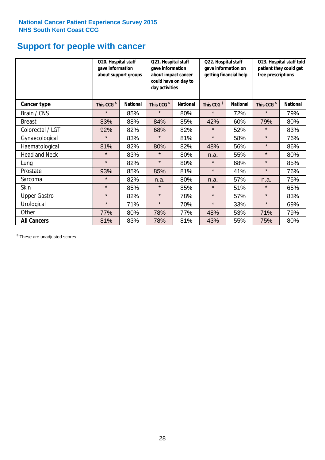### **Support for people with cancer**

|                      | Q20. Hospital staff<br>gave information | about support groups | Q21. Hospital staff<br>gave information<br>about impact cancer<br>could have on day to<br>day activities |                 | Q22. Hospital staff<br>gave information on<br>getting financial help |                 | Q23. Hospital staff told<br>patient they could get<br>free prescriptions |                 |
|----------------------|-----------------------------------------|----------------------|----------------------------------------------------------------------------------------------------------|-----------------|----------------------------------------------------------------------|-----------------|--------------------------------------------------------------------------|-----------------|
| Cancer type          | This CCG <sup>\$</sup>                  | <b>National</b>      | This CCG <sup>\$</sup>                                                                                   | <b>National</b> | This CCG <sup>\$</sup>                                               | <b>National</b> | This CCG <sup>\$</sup>                                                   | <b>National</b> |
| Brain / CNS          | $\star$                                 | 85%                  | $\star$                                                                                                  | 80%             | $\star$                                                              | 72%             | $\star$                                                                  | 79%             |
| <b>Breast</b>        | 83%                                     | 88%                  | 84%                                                                                                      | 85%             | 42%                                                                  | 60%             | 79%                                                                      | 80%             |
| Colorectal / LGT     | 92%                                     | 82%                  | 68%                                                                                                      | 82%             | $\star$                                                              | 52%             | $\star$                                                                  | 83%             |
| Gynaecological       | $\star$                                 | 83%                  | $\star$                                                                                                  | 81%             | $\star$                                                              | 58%             | $\star$                                                                  | 76%             |
| Haematological       | 81%                                     | 82%                  | 80%                                                                                                      | 82%             | 48%                                                                  | 56%             | $\star$                                                                  | 86%             |
| <b>Head and Neck</b> | $\star$                                 | 83%                  | $\star$                                                                                                  | 80%             | n.a.                                                                 | 55%             | $\star$                                                                  | 80%             |
| Lung                 | $\star$                                 | 82%                  | $\star$                                                                                                  | 80%             | $\star$                                                              | 68%             | $\star$                                                                  | 85%             |
| Prostate             | 93%                                     | 85%                  | 85%                                                                                                      | 81%             | $\star$                                                              | 41%             | $\star$                                                                  | 76%             |
| Sarcoma              | $\star$                                 | 82%                  | n.a.                                                                                                     | 80%             | n.a.                                                                 | 57%             | n.a.                                                                     | 75%             |
| Skin                 | $\star$                                 | 85%                  | $\star$                                                                                                  | 85%             | $\star$                                                              | 51%             | $\star$                                                                  | 65%             |
| <b>Upper Gastro</b>  | $\star$                                 | 82%                  | $\star$                                                                                                  | 78%             | $\star$                                                              | 57%             | $\star$                                                                  | 83%             |
| Urological           | $\star$                                 | 71%                  | $\star$                                                                                                  | 70%             | $\star$                                                              | 33%             | $\star$                                                                  | 69%             |
| Other                | 77%                                     | 80%                  | 78%                                                                                                      | 77%             | 48%                                                                  | 53%             | 71%                                                                      | 79%             |
| <b>All Cancers</b>   | 81%                                     | 83%                  | 78%                                                                                                      | 81%             | 43%                                                                  | 55%             | 75%                                                                      | 80%             |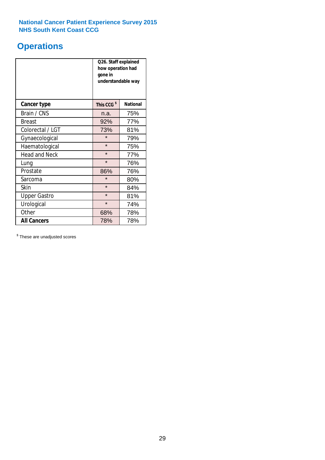### **Operations**

|                      | Q26. Staff explained<br>how operation had<br>gone in<br>understandable way |                 |  |  |  |
|----------------------|----------------------------------------------------------------------------|-----------------|--|--|--|
| <b>Cancer type</b>   | This CCG <sup>\$</sup>                                                     | <b>National</b> |  |  |  |
| Brain / CNS          | n.a.                                                                       | 75%             |  |  |  |
| <b>Breast</b>        | 92%                                                                        | 77%             |  |  |  |
| Colorectal / LGT     | 73%                                                                        | 81%             |  |  |  |
| Gynaecological       | $\star$                                                                    | 79%             |  |  |  |
| Haematological       | $\star$                                                                    | 75%             |  |  |  |
| <b>Head and Neck</b> | $\star$                                                                    | 77%             |  |  |  |
| Lung                 | $\star$                                                                    | 76%             |  |  |  |
| Prostate             | 86%                                                                        | 76%             |  |  |  |
| Sarcoma              | $\star$                                                                    | 80%             |  |  |  |
| Skin                 | $\star$                                                                    | 84%             |  |  |  |
| <b>Upper Gastro</b>  | $\star$                                                                    | 81%             |  |  |  |
| Urological           | $\star$                                                                    | 74%             |  |  |  |
| Other                | 78%<br>68%                                                                 |                 |  |  |  |
| <b>All Cancers</b>   | 78%<br>78%                                                                 |                 |  |  |  |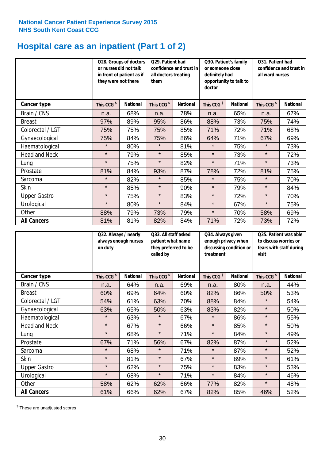## **Hospital care as an inpatient (Part 1 of 2)**

|                      | or nurses did not talk<br>they were not there | Q28. Groups of doctors<br>in front of patient as if | Q29. Patient had<br>confidence and trust in<br>all doctors treating<br>them |                 | Q30. Patient's family<br>or someone close<br>definitely had<br>opportunity to talk to<br>doctor |                 | Q31. Patient had<br>confidence and trust in I<br>all ward nurses |                 |
|----------------------|-----------------------------------------------|-----------------------------------------------------|-----------------------------------------------------------------------------|-----------------|-------------------------------------------------------------------------------------------------|-----------------|------------------------------------------------------------------|-----------------|
| Cancer type          | This CCG <sup>\$</sup>                        | <b>National</b>                                     | This CCG <sup>\$</sup>                                                      | <b>National</b> | This CCG <sup>\$</sup>                                                                          | <b>National</b> | This CCG <sup>\$</sup>                                           | <b>National</b> |
| Brain / CNS          | n.a.                                          | 68%                                                 | n.a.                                                                        | 78%             | n.a.                                                                                            | 65%             | n.a.                                                             | 67%             |
| <b>Breast</b>        | 97%                                           | 89%                                                 | 95%                                                                         | 86%             | 88%                                                                                             | 73%             | 75%                                                              | 74%             |
| Colorectal / LGT     | 75%                                           | 75%                                                 | 75%                                                                         | 85%             | 71%                                                                                             | 72%             | 71%                                                              | 68%             |
| Gynaecological       | 75%                                           | 84%                                                 | 75%                                                                         | 86%             | 64%                                                                                             | 71%             | 67%                                                              | 69%             |
| Haematological       | $\star$                                       | 80%                                                 | $\star$                                                                     | 81%             | $\star$                                                                                         | 75%             | $\star$                                                          | 73%             |
| <b>Head and Neck</b> | $\star$                                       | 79%                                                 | $\star$                                                                     | 85%             | $\star$                                                                                         | 73%             | $\star$                                                          | 72%             |
| Lung                 | $\star$                                       | 75%                                                 | $\star$                                                                     | 82%             | $\star$                                                                                         | 71%             | $\star$                                                          | 73%             |
| Prostate             | 81%                                           | 84%                                                 | 93%                                                                         | 87%             | 78%                                                                                             | 72%             | 81%                                                              | 75%             |
| Sarcoma              | $\star$                                       | 82%                                                 | $\star$                                                                     | 85%             | $\star$                                                                                         | 75%             | $\star$                                                          | 70%             |
| Skin                 | $\star$                                       | 85%                                                 | $\star$                                                                     | 90%             | $\star$                                                                                         | 79%             | $\star$                                                          | 84%             |
| <b>Upper Gastro</b>  | $\star$                                       | 75%                                                 | $\star$                                                                     | 83%             | $\star$                                                                                         | 72%             | $\star$                                                          | 70%             |
| Urological           | $\star$                                       | 80%                                                 | $\star$                                                                     | 84%             | $\star$                                                                                         | 67%             | $\star$                                                          | 75%             |
| Other                | 88%                                           | 79%                                                 | 73%                                                                         | 79%             | $\star$                                                                                         | 70%             | 58%                                                              | 69%             |
| <b>All Cancers</b>   | 81%                                           | 81%                                                 | 82%                                                                         | 84%             | 71%                                                                                             | 72%             | 73%                                                              | 72%             |

|                      | Q32. Always / nearly<br>always enough nurses<br>on duty |                 | Q33. All staff asked<br>patient what name<br>they preferred to be<br>called by |                 | Q34. Always given<br>enough privacy when<br>discussing condition or<br>treatment |                 | Q35. Patient was able<br>to discuss worries or<br>fears with staff during<br>visit |                 |
|----------------------|---------------------------------------------------------|-----------------|--------------------------------------------------------------------------------|-----------------|----------------------------------------------------------------------------------|-----------------|------------------------------------------------------------------------------------|-----------------|
| <b>Cancer type</b>   | This CCG <sup>\$</sup>                                  | <b>National</b> | This CCG <sup>\$</sup>                                                         | <b>National</b> | This CCG <sup>\$</sup>                                                           | <b>National</b> | This CCG <sup>\$</sup>                                                             | <b>National</b> |
| Brain / CNS          | n.a.                                                    | 64%             | n.a.                                                                           | 69%             | n.a.                                                                             | 80%             | n.a.                                                                               | 44%             |
| <b>Breast</b>        | 60%                                                     | 69%             | 64%                                                                            | 60%             | 82%                                                                              | 86%             | 50%                                                                                | 53%             |
| Colorectal / LGT     | 54%                                                     | 61%             | 63%                                                                            | 70%             | 88%                                                                              | 84%             | $\star$                                                                            | 54%             |
| Gynaecological       | 63%                                                     | 65%             | 50%                                                                            | 63%             | 83%                                                                              | 82%             | $\star$                                                                            | 50%             |
| Haematological       | $\star$                                                 | 63%             | $\star$                                                                        | 67%             | $\star$                                                                          | 86%             | $\star$                                                                            | 55%             |
| <b>Head and Neck</b> | $\star$                                                 | 67%             | $\star$                                                                        | 66%             | $\star$                                                                          | 85%             | $\star$                                                                            | 50%             |
| Lung                 | $\star$                                                 | 68%             | $\star$                                                                        | 71%             | $\star$                                                                          | 84%             | $\star$                                                                            | 49%             |
| Prostate             | 67%                                                     | 71%             | 56%                                                                            | 67%             | 82%                                                                              | 87%             | $\star$                                                                            | 52%             |
| Sarcoma              | $\star$                                                 | 68%             | $\star$                                                                        | 71%             | $\star$                                                                          | 87%             | $\star$                                                                            | 52%             |
| Skin                 | $\star$                                                 | 81%             | $\star$                                                                        | 67%             | $\star$                                                                          | 89%             | $\star$                                                                            | 61%             |
| <b>Upper Gastro</b>  | $\star$                                                 | 62%             | $\star$                                                                        | 75%             | $\star$                                                                          | 83%             | $\star$                                                                            | 53%             |
| Urological           | $\star$                                                 | 68%             | $\star$                                                                        | 71%             | $\star$                                                                          | 84%             | $\star$                                                                            | 46%             |
| Other                | 58%                                                     | 62%             | 62%                                                                            | 66%             | 77%                                                                              | 82%             | $\star$                                                                            | 48%             |
| <b>All Cancers</b>   | 61%                                                     | 66%             | 62%                                                                            | 67%             | 82%                                                                              | 85%             | 46%                                                                                | 52%             |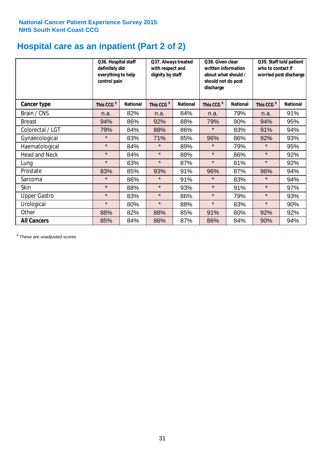## **Hospital care as an inpatient (Part 2 of 2)**

|                      | Q36. Hospital staff<br>definitely did<br>everything to help<br>control pain |                 | Q37. Always treated<br>with respect and<br>dignity by staff |                 | Q38. Given clear<br>written information<br>about what should /<br>should not do post<br>discharge |                 | Q39. Staff told patient<br>who to contact if<br>worried post discharge |                 |
|----------------------|-----------------------------------------------------------------------------|-----------------|-------------------------------------------------------------|-----------------|---------------------------------------------------------------------------------------------------|-----------------|------------------------------------------------------------------------|-----------------|
| <b>Cancer type</b>   | This CCG <sup>\$</sup>                                                      | <b>National</b> | This CCG <sup>\$</sup>                                      | <b>National</b> | This CCG <sup>\$</sup>                                                                            | <b>National</b> | This CCG <sup>\$</sup>                                                 | <b>National</b> |
| Brain / CNS          | n.a.                                                                        | 82%             | n.a.                                                        | 84%             | n.a.                                                                                              | 79%             | n.a.                                                                   | 91%             |
| <b>Breast</b>        | 94%                                                                         | 86%             | 92%                                                         | 88%             | 79%                                                                                               | 90%             | 94%                                                                    | 95%             |
| Colorectal / LGT     | 79%                                                                         | 84%             | 88%                                                         | 86%             | $\star$                                                                                           | 83%             | 91%                                                                    | 94%             |
| Gynaecological       | $\star$                                                                     | 83%             | 71%                                                         | 85%             | 96%                                                                                               | 86%             | 92%                                                                    | 93%             |
| Haematological       | $\star$                                                                     | 84%             | $\star$                                                     | 89%             | $\star$                                                                                           | 79%             | $\star$                                                                | 95%             |
| <b>Head and Neck</b> | $\star$                                                                     | 84%             | $\star$                                                     | 88%             | $\star$                                                                                           | 86%             | $\star$                                                                | 92%             |
| Lung                 | $\star$                                                                     | 83%             | $\star$                                                     | 87%             | $\star$                                                                                           | 81%             | $\star$                                                                | 92%             |
| Prostate             | 83%                                                                         | 85%             | 93%                                                         | 91%             | 96%                                                                                               | 87%             | 96%                                                                    | 94%             |
| Sarcoma              | $\star$                                                                     | 86%             | $\star$                                                     | 91%             | $\star$                                                                                           | 83%             | $\star$                                                                | 94%             |
| Skin                 | $\star$                                                                     | 88%             | $\star$                                                     | 93%             | $\star$                                                                                           | 91%             | $\star$                                                                | 97%             |
| <b>Upper Gastro</b>  | $\star$                                                                     | 83%             | $\star$                                                     | 86%             | $\star$                                                                                           | 79%             | $\star$                                                                | 93%             |
| Urological           | $\star$                                                                     | 80%             | $\star$                                                     | 88%             | $\star$                                                                                           | 83%             | $\star$                                                                | 90%             |
| Other                | 88%                                                                         | 82%             | 88%                                                         | 85%             | 91%                                                                                               | 80%             | 92%                                                                    | 92%             |
| <b>All Cancers</b>   | 85%                                                                         | 84%             | 86%                                                         | 87%             | 86%                                                                                               | 84%             | 90%                                                                    | 94%             |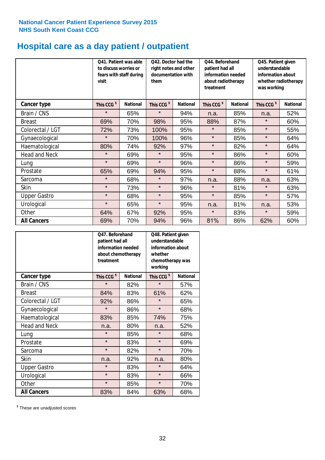## **Hospital care as a day patient / outpatient**

|                      | to discuss worries or<br>visit | Q41. Patient was able<br>Q42. Doctor had the<br>right notes and other<br>documentation with<br>fears with staff during<br>them |                        |                 | Q44. Beforehand<br>patient had all<br>information needed<br>about radiotherapy<br>treatment |                 | Q45. Patient given<br>understandable<br>information about<br>whether radiotherapy<br>was working |                 |
|----------------------|--------------------------------|--------------------------------------------------------------------------------------------------------------------------------|------------------------|-----------------|---------------------------------------------------------------------------------------------|-----------------|--------------------------------------------------------------------------------------------------|-----------------|
| <b>Cancer type</b>   | This CCG <sup>\$</sup>         | <b>National</b>                                                                                                                | This CCG <sup>\$</sup> | <b>National</b> | This CCG <sup>\$</sup>                                                                      | <b>National</b> | This CCG <sup>\$</sup>                                                                           | <b>National</b> |
| Brain / CNS          | $\star$                        | 65%                                                                                                                            | $\star$                | 94%             | n.a.                                                                                        | 85%             | n.a.                                                                                             | 52%             |
| <b>Breast</b>        | 69%                            | 70%                                                                                                                            | 98%                    | 95%             | 88%                                                                                         | 87%             | $\star$                                                                                          | 60%             |
| Colorectal / LGT     | 72%                            | 73%                                                                                                                            | 100%                   | 95%             | $\star$                                                                                     | 85%             | $\star$                                                                                          | 55%             |
| Gynaecological       | $\star$                        | 70%                                                                                                                            | 100%                   | 96%             | $\star$                                                                                     | 85%             | $\star$                                                                                          | 64%             |
| Haematological       | 80%                            | 74%                                                                                                                            | 92%                    | 97%             | $\star$                                                                                     | 82%             | $\star$                                                                                          | 64%             |
| <b>Head and Neck</b> | $\star$                        | 69%                                                                                                                            | $\star$                | 95%             | $\star$                                                                                     | 86%             | $\star$                                                                                          | 60%             |
| Lung                 | $\star$                        | 69%                                                                                                                            | $\star$                | 96%             | $\star$                                                                                     | 86%             | $\star$                                                                                          | 59%             |
| Prostate             | 65%                            | 69%                                                                                                                            | 94%                    | 95%             | $\star$                                                                                     | 88%             | $\star$                                                                                          | 61%             |
| Sarcoma              | $\star$                        | 68%                                                                                                                            | $\star$                | 97%             | n.a.                                                                                        | 88%             | n.a.                                                                                             | 63%             |
| Skin                 | $\star$                        | 73%                                                                                                                            | $\star$                | 96%             | $\star$                                                                                     | 81%             | $\star$                                                                                          | 63%             |
| <b>Upper Gastro</b>  | $\star$                        | 68%                                                                                                                            | $\star$                | 95%             | $\star$                                                                                     | 85%             | $\star$                                                                                          | 57%             |
| Urological           | $\star$                        | 65%                                                                                                                            | $\star$                | 95%             | n.a.                                                                                        | 81%             | n.a.                                                                                             | 53%             |
| Other                | 64%                            | 67%                                                                                                                            | 92%                    | 95%             | $\star$                                                                                     | 83%             | $\star$                                                                                          | 59%             |
| <b>All Cancers</b>   | 69%                            | 70%                                                                                                                            | 94%                    | 96%             | 81%                                                                                         | 86%             | 62%                                                                                              | 60%             |

|                      | O47. Beforehand<br>patient had all<br>information needed<br>about chemotherapy<br>treatment |                 | Q48. Patient given<br>understandable<br>information about<br>whether<br>chemotherapy was<br>working |                 |  |
|----------------------|---------------------------------------------------------------------------------------------|-----------------|-----------------------------------------------------------------------------------------------------|-----------------|--|
| <b>Cancer type</b>   | This CCG <sup>\$</sup>                                                                      | <b>National</b> | This CCG <sup>\$</sup>                                                                              | <b>National</b> |  |
| Brain / CNS          | $\star$                                                                                     | 82%             | $\star$                                                                                             | 57%             |  |
| <b>Breast</b>        | 84%                                                                                         | 83%             | 61%                                                                                                 | 62%             |  |
| Colorectal / LGT     | 92%                                                                                         | 86%             | $\star$                                                                                             | 65%             |  |
| Gynaecological       | $\star$                                                                                     | 86%             | $\star$                                                                                             | 68%             |  |
| Haematological       | 83%<br>85%                                                                                  |                 | 74%                                                                                                 | 75%             |  |
| <b>Head and Neck</b> | n.a.                                                                                        | 80%             | n.a.                                                                                                | 52%             |  |
| Lung                 | $\star$                                                                                     | 85%             | $\star$                                                                                             | 68%             |  |
| Prostate             | $\star$                                                                                     | 83%             | $\star$                                                                                             | 69%             |  |
| Sarcoma              | $\star$                                                                                     | 82%             | $\star$                                                                                             | 70%             |  |
| Skin                 | n.a.                                                                                        | 92%             | n.a.                                                                                                | 80%             |  |
| <b>Upper Gastro</b>  | $\star$                                                                                     | 83%             | $\star$                                                                                             | 64%             |  |
| Urological           | $\star$                                                                                     | 83%             | $\star$                                                                                             | 66%             |  |
| Other                | $\star$                                                                                     | 85%             | $\star$                                                                                             | 70%             |  |
| <b>All Cancers</b>   | 83%                                                                                         | 84%             | 63%                                                                                                 | 68%             |  |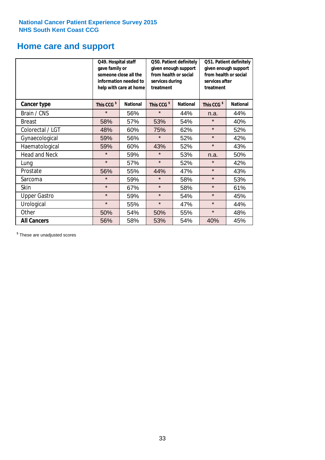## **Home care and support**

|                      | Q49. Hospital staff<br>gave family or | someone close all the<br>information needed to<br>help with care at home | Q50. Patient definitely<br>given enough support<br>from health or social<br>services during<br>treatment |                 | Q51. Patient definitely<br>given enough support<br>from health or social<br>services after<br>treatment |                 |
|----------------------|---------------------------------------|--------------------------------------------------------------------------|----------------------------------------------------------------------------------------------------------|-----------------|---------------------------------------------------------------------------------------------------------|-----------------|
| <b>Cancer type</b>   | This CCG <sup>\$</sup>                | <b>National</b>                                                          | This CCG <sup>\$</sup>                                                                                   | <b>National</b> | This CCG <sup>\$</sup>                                                                                  | <b>National</b> |
| Brain / CNS          | $\star$                               | 56%                                                                      | $\star$                                                                                                  | 44%             | n.a.                                                                                                    | 44%             |
| <b>Breast</b>        | 58%                                   | 57%                                                                      | 53%                                                                                                      | 54%             | $\star$                                                                                                 | 40%             |
| Colorectal / LGT     | 48%                                   | 60%                                                                      | 75%                                                                                                      | 62%             | $\star$                                                                                                 | 52%             |
| Gynaecological       | 59%                                   | 56%                                                                      | $\star$<br>52%                                                                                           |                 | $\star$                                                                                                 | 42%             |
| Haematological       | 59%                                   | 60%                                                                      | 43%                                                                                                      | 52%             | $\star$                                                                                                 | 43%             |
| <b>Head and Neck</b> | $\star$                               | 59%                                                                      | $\star$                                                                                                  | 53%             | n.a.                                                                                                    | 50%             |
| Lung                 | $\star$                               | 57%                                                                      | $\star$                                                                                                  | 52%             | $\star$                                                                                                 | 42%             |
| Prostate             | 56%                                   | 55%                                                                      | 44%                                                                                                      | 47%             | $\star$                                                                                                 | 43%             |
| Sarcoma              | $\star$                               | 59%                                                                      | $\star$                                                                                                  | 58%             | $\star$                                                                                                 | 53%             |
| Skin                 | $\star$                               | 67%                                                                      | $\star$                                                                                                  | 58%             | $\star$                                                                                                 | 61%             |
| <b>Upper Gastro</b>  | $\star$                               | 59%                                                                      | $\star$                                                                                                  | 54%             | $\star$                                                                                                 | 45%             |
| Urological           | $\star$                               | 55%                                                                      | $\star$                                                                                                  | 47%             | $\star$                                                                                                 | 44%             |
| Other                | 50%                                   | 54%                                                                      | 50%                                                                                                      | 55%             | $\star$                                                                                                 | 48%             |
| <b>All Cancers</b>   | 56%                                   | 58%                                                                      | 53%                                                                                                      | 54%             | 40%                                                                                                     | 45%             |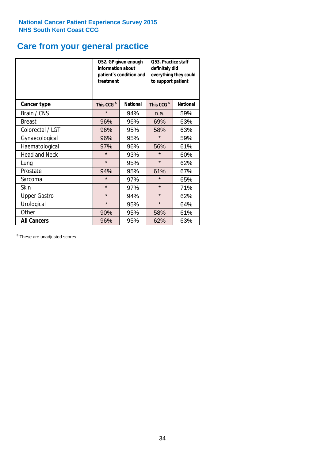### **Care from your general practice**

|                      | information about<br>treatment | Q52. GP given enough<br>patient's condition and | O53. Practice staff<br>definitely did<br>everything they could<br>to support patient |                 |  |
|----------------------|--------------------------------|-------------------------------------------------|--------------------------------------------------------------------------------------|-----------------|--|
| <b>Cancer type</b>   | This CCG <sup>\$</sup>         | <b>National</b>                                 | This CCG <sup>\$</sup>                                                               | <b>National</b> |  |
| Brain / CNS          | $\star$                        | 94%                                             | n.a.                                                                                 | 59%             |  |
| <b>Breast</b>        | 96%                            | 96%                                             | 69%                                                                                  | 63%             |  |
| Colorectal / LGT     | 96%                            | 95%                                             | 58%                                                                                  | 63%             |  |
| Gynaecological       | 96%                            | 95%                                             | $\star$                                                                              | 59%             |  |
| Haematological       | 97%                            | 96%                                             | 56%                                                                                  | 61%             |  |
| <b>Head and Neck</b> | $\star$                        | 93%                                             | $\star$                                                                              | 60%             |  |
| Lung                 | $\star$                        | 95%                                             | $\star$                                                                              | 62%             |  |
| Prostate             | 94%                            | 95%                                             | 61%                                                                                  | 67%             |  |
| Sarcoma              | $\star$                        | 97%                                             | $\star$                                                                              | 65%             |  |
| Skin                 | $\star$                        | 97%                                             | $\star$                                                                              | 71%             |  |
| <b>Upper Gastro</b>  | $\star$                        | 94%                                             | $\star$                                                                              | 62%             |  |
| Urological           | $\star$                        | 95%                                             | $\star$                                                                              | 64%             |  |
| Other                | 90%                            | 95%                                             | 58%                                                                                  | 61%             |  |
| <b>All Cancers</b>   | 96%                            | 95%                                             | 62%                                                                                  | 63%             |  |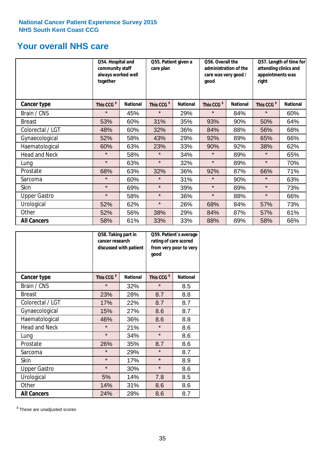### **Your overall NHS care**

|                      | Q54. Hospital and<br>community staff<br>always worked well<br>together |                 | Q55. Patient given a<br>care plan |                 | Q56. Overall the<br>administration of the<br>care was very good /<br>qood |                 | Q57. Length of time for<br>attending clinics and<br>appointments was<br>right |                 |
|----------------------|------------------------------------------------------------------------|-----------------|-----------------------------------|-----------------|---------------------------------------------------------------------------|-----------------|-------------------------------------------------------------------------------|-----------------|
| <b>Cancer type</b>   | This CCG <sup>\$</sup>                                                 | <b>National</b> | This CCG <sup>\$</sup>            | <b>National</b> | This CCG <sup>\$</sup>                                                    | <b>National</b> | This CCG <sup>\$</sup>                                                        | <b>National</b> |
| Brain / CNS          | $\star$                                                                | 45%             | $\star$                           | 29%             | $\star$                                                                   | 84%             | $\star$                                                                       | 60%             |
| <b>Breast</b>        | 53%                                                                    | 60%             | 31%                               | 35%             | 93%                                                                       | 90%             | 50%                                                                           | 64%             |
| Colorectal / LGT     | 48%                                                                    | 60%             | 32%                               | 36%             | 84%                                                                       | 88%             | 56%                                                                           | 68%             |
| Gynaecological       | 52%                                                                    | 58%             | 43%                               | 29%             | 92%                                                                       | 89%             | 65%                                                                           | 66%             |
| Haematological       | 60%                                                                    | 63%             | 23%                               | 33%             | 90%                                                                       | 92%             | 38%                                                                           | 62%             |
| <b>Head and Neck</b> | $\star$                                                                | 58%             | $\star$                           | 34%             | $\star$                                                                   | 89%             | $\star$                                                                       | 65%             |
| Lung                 | $\star$                                                                | 63%             | $\star$                           | 32%             | $\star$                                                                   | 89%             | $\star$                                                                       | 70%             |
| Prostate             | 68%                                                                    | 63%             | 32%                               | 36%             | 92%                                                                       | 87%             | 66%                                                                           | 71%             |
| Sarcoma              | $\star$                                                                | 60%             | $\star$                           | 31%             | $\star$                                                                   | 90%             | $\star$                                                                       | 63%             |
| Skin                 | $\star$                                                                | 69%             | $\star$                           | 39%             | $\star$                                                                   | 89%             | $\star$                                                                       | 73%             |
| <b>Upper Gastro</b>  | $\star$                                                                | 58%             | $\star$                           | 36%             | $\star$                                                                   | 88%             | $\star$                                                                       | 66%             |
| Urological           | 52%                                                                    | 62%             | $\star$                           | 26%             | 68%                                                                       | 84%             | 57%                                                                           | 73%             |
| Other                | 52%                                                                    | 56%             | 38%                               | 29%             | 84%                                                                       | 87%             | 57%                                                                           | 61%             |
| <b>All Cancers</b>   | 58%                                                                    | 61%             | 33%                               | 33%             | 88%                                                                       | 89%             | 58%                                                                           | 66%             |

|                      | Q58. Taking part in<br>cancer research | discussed with patient | Q59. Patient's average<br>rating of care scored<br>from very poor to very<br>good |                 |  |
|----------------------|----------------------------------------|------------------------|-----------------------------------------------------------------------------------|-----------------|--|
| <b>Cancer type</b>   | This CCG <sup>\$</sup>                 | <b>National</b>        | This CCG <sup>\$</sup>                                                            | <b>National</b> |  |
| Brain / CNS          | $\star$                                | 32%                    | $\star$                                                                           | 8.5             |  |
| <b>Breast</b>        | 23%                                    | 28%                    | 8.7                                                                               | 8.8             |  |
| Colorectal / LGT     | 17%                                    | 22%                    | 8.7                                                                               | 8.7             |  |
| Gynaecological       | 15%                                    | 27%                    | 8.6                                                                               | 8.7             |  |
| Haematological       | 46%                                    | 36%                    | 8.6                                                                               | 8.8             |  |
| <b>Head and Neck</b> | $\star$                                | 21%                    | $\star$                                                                           | 8.6             |  |
| Lung                 | $\star$                                | 34%                    | $\star$                                                                           | 8.6             |  |
| Prostate             | 26%                                    | 35%                    | 8.7                                                                               | 8.6             |  |
| Sarcoma              | $\star$                                | 29%                    | $\star$                                                                           | 8.7             |  |
| Skin                 | $\star$                                | 17%                    | $\star$                                                                           | 8.9             |  |
| <b>Upper Gastro</b>  | $\star$                                | 30%                    | $\star$                                                                           | 8.6             |  |
| Urological           | 5%                                     | 14%                    | 7.8                                                                               | 8.5             |  |
| Other                | 14%                                    | 31%                    | 8.6                                                                               | 8.6             |  |
| <b>All Cancers</b>   | 24%                                    | 28%                    | 8.6                                                                               | 8.7             |  |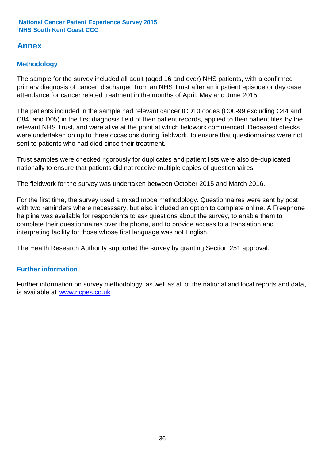### **Annex**

### **Methodology**

The sample for the survey included all adult (aged 16 and over) NHS patients, with a confirmed primary diagnosis of cancer, discharged from an NHS Trust after an inpatient episode or day case attendance for cancer related treatment in the months of April, May and June 2015.

The patients included in the sample had relevant cancer ICD10 codes (C00-99 excluding C44 and C84, and D05) in the first diagnosis field of their patient records, applied to their patient files by the relevant NHS Trust, and were alive at the point at which fieldwork commenced. Deceased checks were undertaken on up to three occasions during fieldwork, to ensure that questionnaires were not sent to patients who had died since their treatment.

Trust samples were checked rigorously for duplicates and patient lists were also de-duplicated nationally to ensure that patients did not receive multiple copies of questionnaires.

The fieldwork for the survey was undertaken between October 2015 and March 2016.

For the first time, the survey used a mixed mode methodology. Questionnaires were sent by post with two reminders where necesssary, but also included an option to complete online. A Freephone helpline was available for respondents to ask questions about the survey, to enable them to complete their questionnaires over the phone, and to provide access to a translation and interpreting facility for those whose first language was not English.

The Health Research Authority supported the survey by granting Section 251 approval.

#### **Further information**

Further information on survey methodology, as well as all of the national and local reports and data, is available at www.ncpes.co.uk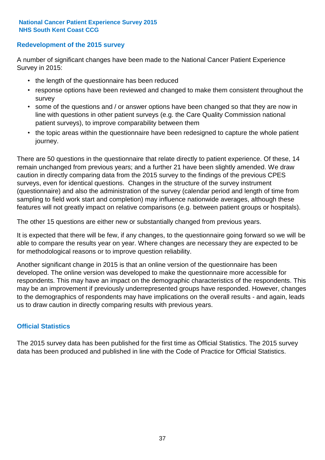#### **Redevelopment of the 2015 survey**

A number of significant changes have been made to the National Cancer Patient Experience Survey in 2015:

- the length of the questionnaire has been reduced
- response options have been reviewed and changed to make them consistent throughout the survey
- some of the questions and / or answer options have been changed so that they are now in line with questions in other patient surveys (e.g. the Care Quality Commission national patient surveys), to improve comparability between them
- the topic areas within the questionnaire have been redesigned to capture the whole patient journey.

There are 50 questions in the questionnaire that relate directly to patient experience. Of these, 14 remain unchanged from previous years; and a further 21 have been slightly amended. We draw caution in directly comparing data from the 2015 survey to the findings of the previous CPES surveys, even for identical questions. Changes in the structure of the survey instrument (questionnaire) and also the administration of the survey (calendar period and length of time from sampling to field work start and completion) may influence nationwide averages, although these features will not greatly impact on relative comparisons (e.g. between patient groups or hospitals).

The other 15 questions are either new or substantially changed from previous years.

It is expected that there will be few, if any changes, to the questionnaire going forward so we will be able to compare the results year on year. Where changes are necessary they are expected to be for methodological reasons or to improve question reliability.

Another significant change in 2015 is that an online version of the questionnaire has been developed. The online version was developed to make the questionnaire more accessible for respondents. This may have an impact on the demographic characteristics of the respondents. This may be an improvement if previously underrepresented groups have responded. However, changes to the demographics of respondents may have implications on the overall results - and again, leads us to draw caution in directly comparing results with previous years.

#### **Official Statistics**

The 2015 survey data has been published for the first time as Official Statistics. The 2015 survey data has been produced and published in line with the Code of Practice for Official Statistics.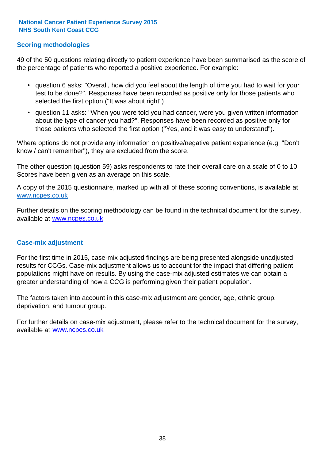#### **Scoring methodologies**

49 of the 50 questions relating directly to patient experience have been summarised as the score of the percentage of patients who reported a positive experience. For example:

- question 6 asks: "Overall, how did you feel about the length of time you had to wait for your test to be done?". Responses have been recorded as positive only for those patients who selected the first option ("It was about right")
- question 11 asks: "When you were told you had cancer, were you given written information about the type of cancer you had?". Responses have been recorded as positive only for those patients who selected the first option ("Yes, and it was easy to understand").

Where options do not provide any information on positive/negative patient experience (e.g. "Don't know / can't remember"), they are excluded from the score.

The other question (question 59) asks respondents to rate their overall care on a scale of 0 to 10. Scores have been given as an average on this scale.

A copy of the 2015 questionnaire, marked up with all of these scoring conventions, is available at www.ncpes.co.uk

Further details on the scoring methodology can be found in the technical document for the survey, available at <u>www.ncpes.co.uk</u>

#### **Case-mix adjustment**

For the first time in 2015, case-mix adjusted findings are being presented alongside unadjusted results for CCGs. Case-mix adjustment allows us to account for the impact that differing patient populations might have on results. By using the case-mix adjusted estimates we can obtain a greater understanding of how a CCG is performing given their patient population.

The factors taken into account in this case-mix adjustment are gender, age, ethnic group, deprivation, and tumour group.

For further details on case-mix adjustment, please refer to the technical document for the survey, available at www.ncpes.co.uk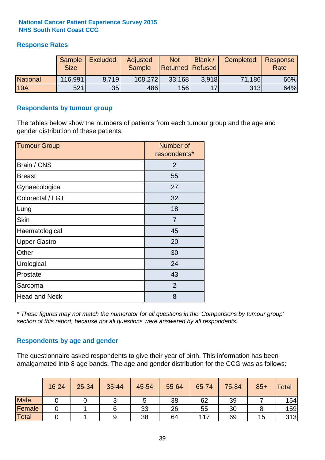#### **Response Rates**

|                 | Sample<br><b>Size</b> | <b>Excluded</b> | Adjusted<br><b>Sample</b> | <b>Not</b><br><b>Returned Refused</b> | Blank / | Completed | Response<br>Rate |
|-----------------|-----------------------|-----------------|---------------------------|---------------------------------------|---------|-----------|------------------|
| <b>National</b> | 116,991               | 8.719           | 108,272                   | 33,168                                | 3.918   | 71,186    | 66%              |
| <b>10A</b>      | 521                   | 35              | 486                       | 156                                   | 17      | 313       | 64%              |

#### **Respondents by tumour group**

The tables below show the numbers of patients from each tumour group and the age and gender distribution of these patients.

| <b>Tumour Group</b>  | Number of<br>respondents* |
|----------------------|---------------------------|
| Brain / CNS          | $\overline{2}$            |
| <b>Breast</b>        | 55                        |
| Gynaecological       | 27                        |
| Colorectal / LGT     | 32                        |
| Lung                 | 18                        |
| <b>Skin</b>          | 7                         |
| Haematological       | 45                        |
| <b>Upper Gastro</b>  | 20                        |
| Other                | 30                        |
| Urological           | 24                        |
| Prostate             | 43                        |
| Sarcoma              | $\overline{2}$            |
| <b>Head and Neck</b> | 8                         |

*\* These figures may not match the numerator for all questions in the 'Comparisons by tumour group' section of this report, because not all questions were answered by all respondents.*

#### **Respondents by age and gender**

The questionnaire asked respondents to give their year of birth. This information has been amalgamated into 8 age bands. The age and gender distribution for the CCG was as follows:

|             | 16-24 | 25-34 | 35-44 | 45-54 | 55-64 | 65-74 | 75-84 | $85+$ | Total |
|-------------|-------|-------|-------|-------|-------|-------|-------|-------|-------|
| <b>Male</b> |       |       |       | C     | 38    | 62    | 39    |       | 154   |
| Female      |       |       |       | 33    | 26    | 55    | 30    |       | 159   |
| Total       |       |       | 9     | 38    | 64    | 117   | 69    | 15    | 313   |